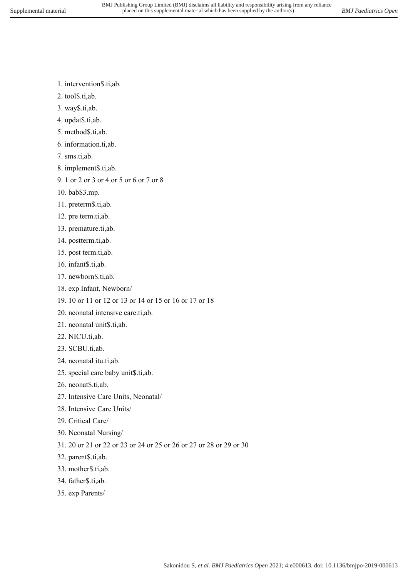- 1. intervention\$.ti,ab.
- 2. tool\$.ti,ab.
- 3. way\$.ti,ab.
- 4. updat\$.ti,ab.
- 5. method\$.ti,ab.
- 6. information.ti,ab.
- 7. sms.ti,ab.
- 8. implement\$.ti,ab.
- 9. 1 or 2 or 3 or 4 or 5 or 6 or 7 or 8
- 10. bab\$3.mp.
- 11. preterm\$.ti,ab.
- 12. pre term.ti,ab.
- 13. premature.ti,ab.
- 14. postterm.ti,ab.
- 15. post term.ti,ab.
- 16. infant\$.ti,ab.
- 17. newborn\$.ti,ab.
- 18. exp Infant, Newborn/
- 19. 10 or 11 or 12 or 13 or 14 or 15 or 16 or 17 or 18
- 20. neonatal intensive care.ti,ab.
- 21. neonatal unit\$.ti,ab.
- 22. NICU.ti,ab.
- 23. SCBU.ti,ab.
- 24. neonatal itu.ti,ab.
- 25. special care baby unit\$.ti,ab.
- 26. neonat\$.ti,ab.
- 27. Intensive Care Units, Neonatal/
- 28. Intensive Care Units/
- 29. Critical Care/
- 30. Neonatal Nursing/
- 31. 20 or 21 or 22 or 23 or 24 or 25 or 26 or 27 or 28 or 29 or 30
- 32. parent\$.ti,ab.
- 33. mother\$.ti,ab.
- 34. father\$.ti,ab.
- 35. exp Parents/